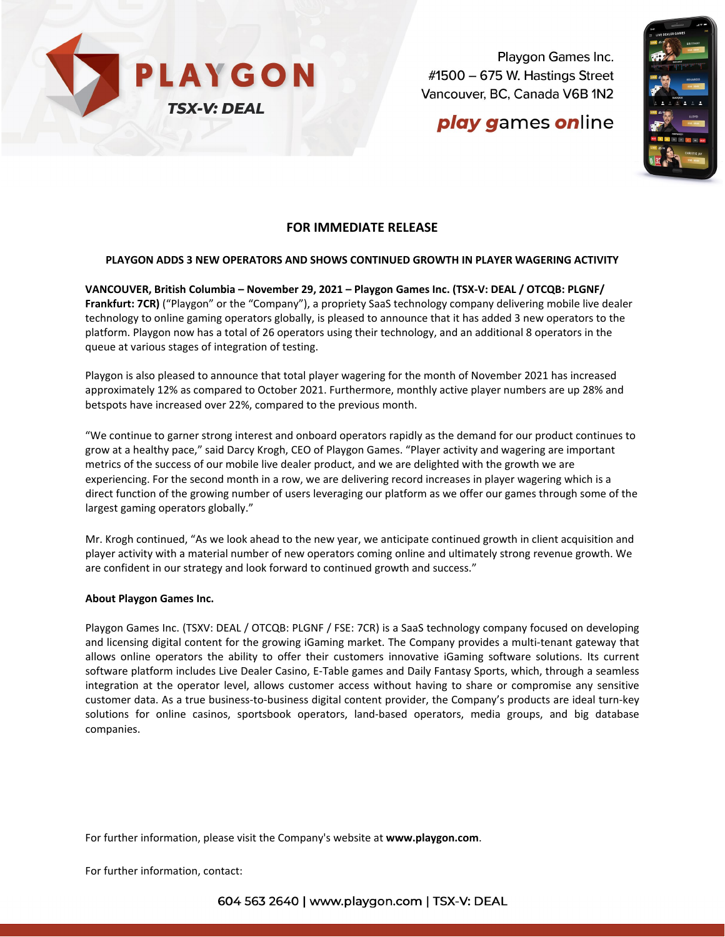

Playgon Games Inc. #1500 - 675 W. Hastings Street Vancouver, BC, Canada V6B 1N2

# play games online



### **FOR IMMEDIATE RELEASE**

#### **PLAYGON ADDS 3 NEW OPERATORS AND SHOWS CONTINUED GROWTH IN PLAYER WAGERING ACTIVITY**

**VANCOUVER, British Columbia – November 29, 2021 – [Playgon Games Inc. \(TSX-V: DEAL / OTCQB: PLGNF/](https://www.investorbrandnetwork.com/clients/playgon-games-inc/)  [Frankfurt: 7CR\)](https://www.investorbrandnetwork.com/clients/playgon-games-inc/)** ("Playgon" or the "Company"), a propriety SaaS technology company delivering mobile live dealer technology to online gaming operators globally, is pleased to announce that it has added 3 new operators to the platform. Playgon now has a total of 26 operators using their technology, and an additional 8 operators in the queue at various stages of integration of testing.

Playgon is also pleased to announce that total player wagering for the month of November 2021 has increased approximately 12% as compared to October 2021. Furthermore, monthly active player numbers are up 28% and betspots have increased over 22%, compared to the previous month.

"We continue to garner strong interest and onboard operators rapidly as the demand for our product continues to grow at a healthy pace," said Darcy Krogh, CEO of Playgon Games. "Player activity and wagering are important metrics of the success of our mobile live dealer product, and we are delighted with the growth we are experiencing. For the second month in a row, we are delivering record increases in player wagering which is a direct function of the growing number of users leveraging our platform as we offer our games through some of the largest gaming operators globally."

Mr. Krogh continued, "As we look ahead to the new year, we anticipate continued growth in client acquisition and player activity with a material number of new operators coming online and ultimately strong revenue growth. We are confident in our strategy and look forward to continued growth and success."

#### **About Playgon Games Inc.**

Playgon Games Inc. (TSXV: DEAL / OTCQB: PLGNF / FSE: 7CR) is a SaaS technology company focused on developing and licensing digital content for the growing iGaming market. The Company provides a multi-tenant gateway that allows online operators the ability to offer their customers innovative iGaming software solutions. Its current software platform includes Live Dealer Casino, E-Table games and Daily Fantasy Sports, which, through a seamless integration at the operator level, allows customer access without having to share or compromise any sensitive customer data. As a true business-to-business digital content provider, the Company's products are ideal turn-key solutions for online casinos, sportsbook operators, land-based operators, media groups, and big database companies.

For further information, please visit the Company's website at **[www.playgon.com](http://www.playgon.com/)**.

For further information, contact: